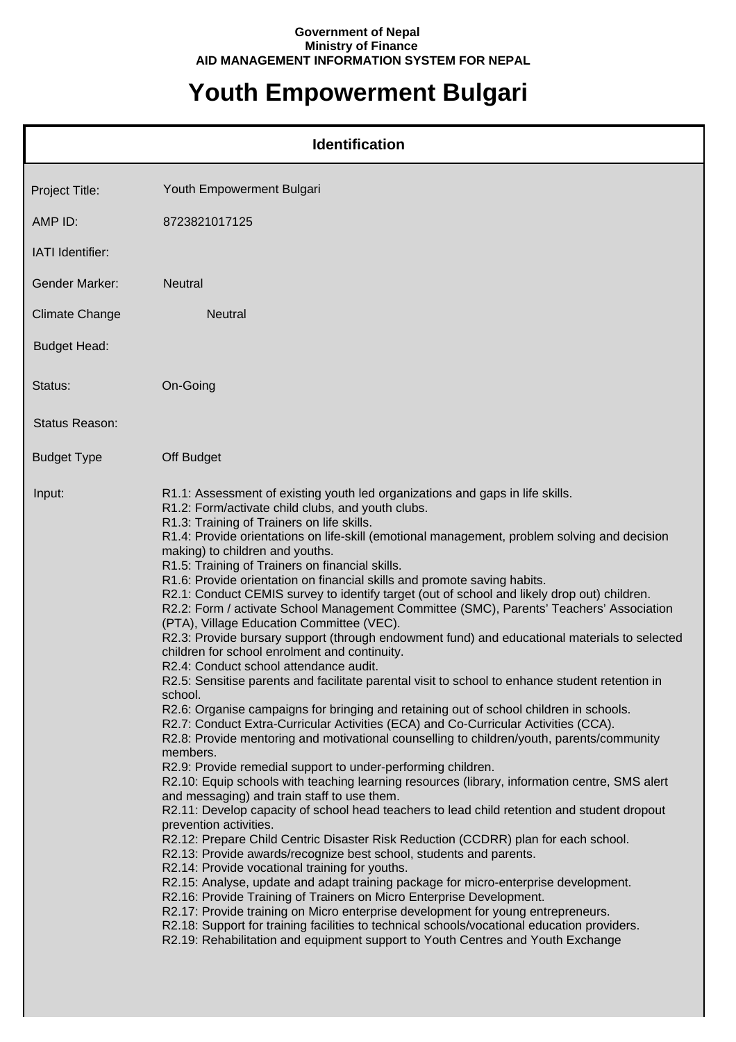## **Government of Nepal Ministry of Finance AID MANAGEMENT INFORMATION SYSTEM FOR NEPAL**

## **Youth Empowerment Bulgari**

|                       | <b>Identification</b>                                                                                                                                                                                                                                                                                                                                                                                                                                                                                                                                                                                                                                                                                                                                                                                                                                                                                                                                                                                                                                                                                                                                                                                                                                                                                                                                                                                                                                                                                                                                                                                                                                                                                                                                                                                                                                                                                                                                                                                                                                                                                                                                                                                                                                                                    |
|-----------------------|------------------------------------------------------------------------------------------------------------------------------------------------------------------------------------------------------------------------------------------------------------------------------------------------------------------------------------------------------------------------------------------------------------------------------------------------------------------------------------------------------------------------------------------------------------------------------------------------------------------------------------------------------------------------------------------------------------------------------------------------------------------------------------------------------------------------------------------------------------------------------------------------------------------------------------------------------------------------------------------------------------------------------------------------------------------------------------------------------------------------------------------------------------------------------------------------------------------------------------------------------------------------------------------------------------------------------------------------------------------------------------------------------------------------------------------------------------------------------------------------------------------------------------------------------------------------------------------------------------------------------------------------------------------------------------------------------------------------------------------------------------------------------------------------------------------------------------------------------------------------------------------------------------------------------------------------------------------------------------------------------------------------------------------------------------------------------------------------------------------------------------------------------------------------------------------------------------------------------------------------------------------------------------------|
| Project Title:        | Youth Empowerment Bulgari                                                                                                                                                                                                                                                                                                                                                                                                                                                                                                                                                                                                                                                                                                                                                                                                                                                                                                                                                                                                                                                                                                                                                                                                                                                                                                                                                                                                                                                                                                                                                                                                                                                                                                                                                                                                                                                                                                                                                                                                                                                                                                                                                                                                                                                                |
| AMP ID:               | 8723821017125                                                                                                                                                                                                                                                                                                                                                                                                                                                                                                                                                                                                                                                                                                                                                                                                                                                                                                                                                                                                                                                                                                                                                                                                                                                                                                                                                                                                                                                                                                                                                                                                                                                                                                                                                                                                                                                                                                                                                                                                                                                                                                                                                                                                                                                                            |
| IATI Identifier:      |                                                                                                                                                                                                                                                                                                                                                                                                                                                                                                                                                                                                                                                                                                                                                                                                                                                                                                                                                                                                                                                                                                                                                                                                                                                                                                                                                                                                                                                                                                                                                                                                                                                                                                                                                                                                                                                                                                                                                                                                                                                                                                                                                                                                                                                                                          |
| <b>Gender Marker:</b> | <b>Neutral</b>                                                                                                                                                                                                                                                                                                                                                                                                                                                                                                                                                                                                                                                                                                                                                                                                                                                                                                                                                                                                                                                                                                                                                                                                                                                                                                                                                                                                                                                                                                                                                                                                                                                                                                                                                                                                                                                                                                                                                                                                                                                                                                                                                                                                                                                                           |
| <b>Climate Change</b> | <b>Neutral</b>                                                                                                                                                                                                                                                                                                                                                                                                                                                                                                                                                                                                                                                                                                                                                                                                                                                                                                                                                                                                                                                                                                                                                                                                                                                                                                                                                                                                                                                                                                                                                                                                                                                                                                                                                                                                                                                                                                                                                                                                                                                                                                                                                                                                                                                                           |
| <b>Budget Head:</b>   |                                                                                                                                                                                                                                                                                                                                                                                                                                                                                                                                                                                                                                                                                                                                                                                                                                                                                                                                                                                                                                                                                                                                                                                                                                                                                                                                                                                                                                                                                                                                                                                                                                                                                                                                                                                                                                                                                                                                                                                                                                                                                                                                                                                                                                                                                          |
| Status:               | On-Going                                                                                                                                                                                                                                                                                                                                                                                                                                                                                                                                                                                                                                                                                                                                                                                                                                                                                                                                                                                                                                                                                                                                                                                                                                                                                                                                                                                                                                                                                                                                                                                                                                                                                                                                                                                                                                                                                                                                                                                                                                                                                                                                                                                                                                                                                 |
| Status Reason:        |                                                                                                                                                                                                                                                                                                                                                                                                                                                                                                                                                                                                                                                                                                                                                                                                                                                                                                                                                                                                                                                                                                                                                                                                                                                                                                                                                                                                                                                                                                                                                                                                                                                                                                                                                                                                                                                                                                                                                                                                                                                                                                                                                                                                                                                                                          |
| <b>Budget Type</b>    | Off Budget                                                                                                                                                                                                                                                                                                                                                                                                                                                                                                                                                                                                                                                                                                                                                                                                                                                                                                                                                                                                                                                                                                                                                                                                                                                                                                                                                                                                                                                                                                                                                                                                                                                                                                                                                                                                                                                                                                                                                                                                                                                                                                                                                                                                                                                                               |
| Input:                | R1.1: Assessment of existing youth led organizations and gaps in life skills.<br>R1.2: Form/activate child clubs, and youth clubs.<br>R1.3: Training of Trainers on life skills.<br>R1.4: Provide orientations on life-skill (emotional management, problem solving and decision<br>making) to children and youths.<br>R1.5: Training of Trainers on financial skills.<br>R1.6: Provide orientation on financial skills and promote saving habits.<br>R2.1: Conduct CEMIS survey to identify target (out of school and likely drop out) children.<br>R2.2: Form / activate School Management Committee (SMC), Parents' Teachers' Association<br>(PTA), Village Education Committee (VEC).<br>R2.3: Provide bursary support (through endowment fund) and educational materials to selected<br>children for school enrolment and continuity.<br>R2.4: Conduct school attendance audit.<br>R2.5: Sensitise parents and facilitate parental visit to school to enhance student retention in<br>school.<br>R2.6: Organise campaigns for bringing and retaining out of school children in schools.<br>R2.7: Conduct Extra-Curricular Activities (ECA) and Co-Curricular Activities (CCA).<br>R2.8: Provide mentoring and motivational counselling to children/youth, parents/community<br>members.<br>R2.9: Provide remedial support to under-performing children.<br>R2.10: Equip schools with teaching learning resources (library, information centre, SMS alert<br>and messaging) and train staff to use them.<br>R2.11: Develop capacity of school head teachers to lead child retention and student dropout<br>prevention activities.<br>R2.12: Prepare Child Centric Disaster Risk Reduction (CCDRR) plan for each school.<br>R2.13: Provide awards/recognize best school, students and parents.<br>R2.14: Provide vocational training for youths.<br>R2.15: Analyse, update and adapt training package for micro-enterprise development.<br>R2.16: Provide Training of Trainers on Micro Enterprise Development.<br>R2.17: Provide training on Micro enterprise development for young entrepreneurs.<br>R2.18: Support for training facilities to technical schools/vocational education providers.<br>R2.19: Rehabilitation and equipment support to Youth Centres and Youth Exchange |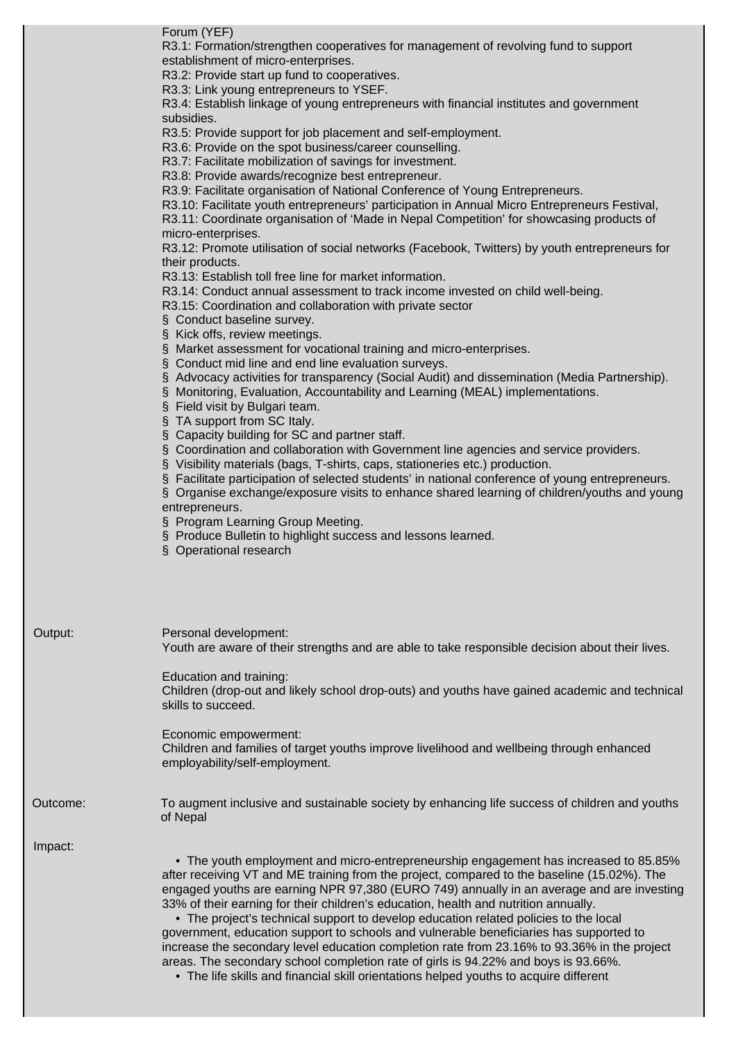Forum (YEF)

R3.1: Formation/strengthen cooperatives for management of revolving fund to support establishment of micro-enterprises.

R3.2: Provide start up fund to cooperatives.

R3.3: Link young entrepreneurs to YSEF.

R3.4: Establish linkage of young entrepreneurs with financial institutes and government subsidies.

R3.5: Provide support for job placement and self-employment.

R3.6: Provide on the spot business/career counselling.

R3.7: Facilitate mobilization of savings for investment.

R3.8: Provide awards/recognize best entrepreneur.

R3.9: Facilitate organisation of National Conference of Young Entrepreneurs.

R3.10: Facilitate youth entrepreneurs' participation in Annual Micro Entrepreneurs Festival,

R3.11: Coordinate organisation of 'Made in Nepal Competition' for showcasing products of micro-enterprises.

R3.12: Promote utilisation of social networks (Facebook, Twitters) by youth entrepreneurs for their products.

R3.13: Establish toll free line for market information.

R3.14: Conduct annual assessment to track income invested on child well-being.

R3.15: Coordination and collaboration with private sector

§ Conduct baseline survey.

§ Kick offs, review meetings.

§ Market assessment for vocational training and micro-enterprises.

§ Conduct mid line and end line evaluation surveys.

§ Advocacy activities for transparency (Social Audit) and dissemination (Media Partnership).

§ Monitoring, Evaluation, Accountability and Learning (MEAL) implementations.

§ Field visit by Bulgari team.

§ TA support from SC Italy.

§ Capacity building for SC and partner staff.

§ Coordination and collaboration with Government line agencies and service providers.

§ Visibility materials (bags, T-shirts, caps, stationeries etc.) production.

§ Facilitate participation of selected students' in national conference of young entrepreneurs.

§ Organise exchange/exposure visits to enhance shared learning of children/youths and young entrepreneurs.

§ Program Learning Group Meeting.

§ Produce Bulletin to highlight success and lessons learned.

§ Operational research

Output: Personal development: Youth are aware of their strengths and are able to take responsible decision about their lives.

Education and training:

Children (drop-out and likely school drop-outs) and youths have gained academic and technical skills to succeed.

Economic empowerment: Children and families of target youths improve livelihood and wellbeing through enhanced employability/self-employment.

Outcome: To augment inclusive and sustainable society by enhancing life success of children and youths of Nepal

Impact:

 • The youth employment and micro-entrepreneurship engagement has increased to 85.85% after receiving VT and ME training from the project, compared to the baseline (15.02%). The engaged youths are earning NPR 97,380 (EURO 749) annually in an average and are investing 33% of their earning for their children's education, health and nutrition annually.

 • The project's technical support to develop education related policies to the local government, education support to schools and vulnerable beneficiaries has supported to increase the secondary level education completion rate from 23.16% to 93.36% in the project areas. The secondary school completion rate of girls is 94.22% and boys is 93.66%.

• The life skills and financial skill orientations helped youths to acquire different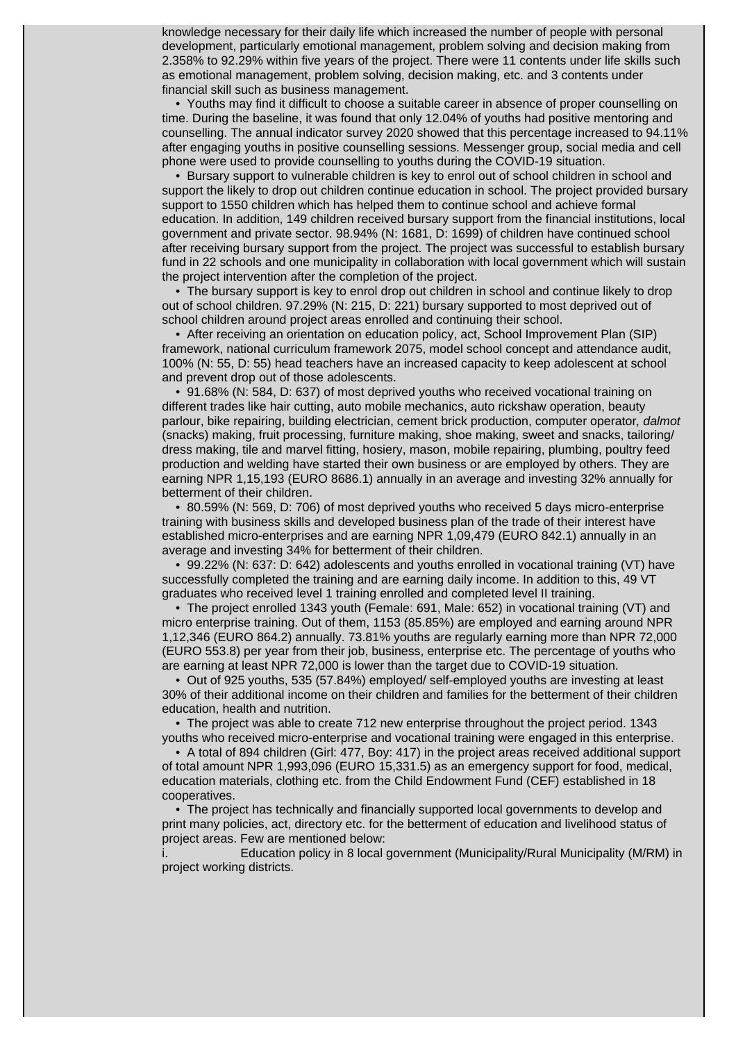knowledge necessary for their daily life which increased the number of people with personal development, particularly emotional management, problem solving and decision making from 2.358% to 92.29% within five years of the project. There were 11 contents under life skills such as emotional management, problem solving, decision making, etc. and 3 contents under financial skill such as business management.

 • Youths may find it difficult to choose a suitable career in absence of proper counselling on time. During the baseline, it was found that only 12.04% of youths had positive mentoring and counselling. The annual indicator survey 2020 showed that this percentage increased to 94.11% after engaging youths in positive counselling sessions. Messenger group, social media and cell phone were used to provide counselling to youths during the COVID-19 situation.

 • Bursary support to vulnerable children is key to enrol out of school children in school and support the likely to drop out children continue education in school. The project provided bursary support to 1550 children which has helped them to continue school and achieve formal education. In addition, 149 children received bursary support from the financial institutions, local government and private sector. 98.94% (N: 1681, D: 1699) of children have continued school after receiving bursary support from the project. The project was successful to establish bursary fund in 22 schools and one municipality in collaboration with local government which will sustain the project intervention after the completion of the project.

 • The bursary support is key to enrol drop out children in school and continue likely to drop out of school children. 97.29% (N: 215, D: 221) bursary supported to most deprived out of school children around project areas enrolled and continuing their school.

 • After receiving an orientation on education policy, act, School Improvement Plan (SIP) framework, national curriculum framework 2075, model school concept and attendance audit, 100% (N: 55, D: 55) head teachers have an increased capacity to keep adolescent at school and prevent drop out of those adolescents.

 • 91.68% (N: 584, D: 637) of most deprived youths who received vocational training on different trades like hair cutting, auto mobile mechanics, auto rickshaw operation, beauty parlour, bike repairing, building electrician, cement brick production, computer operator, dalmot (snacks) making, fruit processing, furniture making, shoe making, sweet and snacks, tailoring/ dress making, tile and marvel fitting, hosiery, mason, mobile repairing, plumbing, poultry feed production and welding have started their own business or are employed by others. They are earning NPR 1,15,193 (EURO 8686.1) annually in an average and investing 32% annually for betterment of their children.

 • 80.59% (N: 569, D: 706) of most deprived youths who received 5 days micro-enterprise training with business skills and developed business plan of the trade of their interest have established micro-enterprises and are earning NPR 1,09,479 (EURO 842.1) annually in an average and investing 34% for betterment of their children.

 • 99.22% (N: 637: D: 642) adolescents and youths enrolled in vocational training (VT) have successfully completed the training and are earning daily income. In addition to this, 49 VT graduates who received level 1 training enrolled and completed level II training.

 • The project enrolled 1343 youth (Female: 691, Male: 652) in vocational training (VT) and micro enterprise training. Out of them, 1153 (85.85%) are employed and earning around NPR 1,12,346 (EURO 864.2) annually. 73.81% youths are regularly earning more than NPR 72,000 (EURO 553.8) per year from their job, business, enterprise etc. The percentage of youths who are earning at least NPR 72,000 is lower than the target due to COVID-19 situation.

 • Out of 925 youths, 535 (57.84%) employed/ self-employed youths are investing at least 30% of their additional income on their children and families for the betterment of their children education, health and nutrition.

 • The project was able to create 712 new enterprise throughout the project period. 1343 youths who received micro-enterprise and vocational training were engaged in this enterprise.

 • A total of 894 children (Girl: 477, Boy: 417) in the project areas received additional support of total amount NPR 1,993,096 (EURO 15,331.5) as an emergency support for food, medical, education materials, clothing etc. from the Child Endowment Fund (CEF) established in 18 cooperatives.

 • The project has technically and financially supported local governments to develop and print many policies, act, directory etc. for the betterment of education and livelihood status of project areas. Few are mentioned below:

Education policy in 8 local government (Municipality/Rural Municipality (M/RM) in project working districts.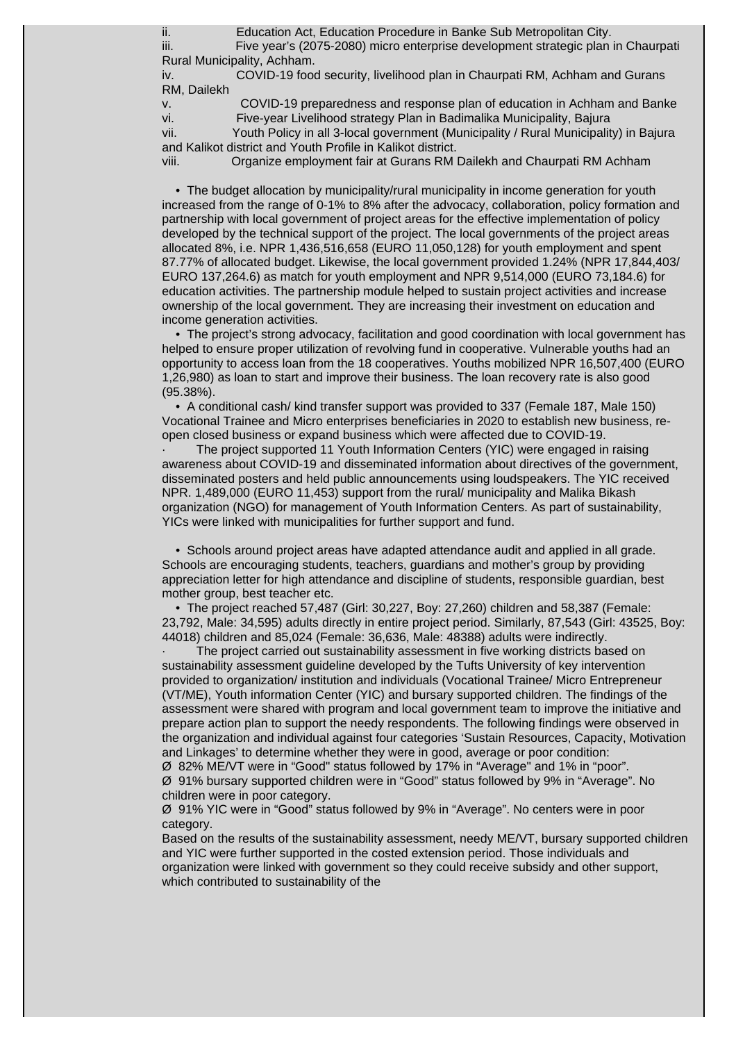ii. Education Act, Education Procedure in Banke Sub Metropolitan City.

iii. Five year's (2075-2080) micro enterprise development strategic plan in Chaurpati Rural Municipality, Achham.

iv. COVID-19 food security, livelihood plan in Chaurpati RM, Achham and Gurans RM, Dailekh

v. COVID-19 preparedness and response plan of education in Achham and Banke

vi. Five-year Livelihood strategy Plan in Badimalika Municipality, Bajura

vii. Youth Policy in all 3-local government (Municipality / Rural Municipality) in Bajura and Kalikot district and Youth Profile in Kalikot district.

viii. Organize employment fair at Gurans RM Dailekh and Chaurpati RM Achham

 • The budget allocation by municipality/rural municipality in income generation for youth increased from the range of 0-1% to 8% after the advocacy, collaboration, policy formation and partnership with local government of project areas for the effective implementation of policy developed by the technical support of the project. The local governments of the project areas allocated 8%, i.e. NPR 1,436,516,658 (EURO 11,050,128) for youth employment and spent 87.77% of allocated budget. Likewise, the local government provided 1.24% (NPR 17,844,403/ EURO 137,264.6) as match for youth employment and NPR 9,514,000 (EURO 73,184.6) for education activities. The partnership module helped to sustain project activities and increase ownership of the local government. They are increasing their investment on education and income generation activities.

 • The project's strong advocacy, facilitation and good coordination with local government has helped to ensure proper utilization of revolving fund in cooperative. Vulnerable youths had an opportunity to access loan from the 18 cooperatives. Youths mobilized NPR 16,507,400 (EURO 1,26,980) as loan to start and improve their business. The loan recovery rate is also good (95.38%).

 • A conditional cash/ kind transfer support was provided to 337 (Female 187, Male 150) Vocational Trainee and Micro enterprises beneficiaries in 2020 to establish new business, reopen closed business or expand business which were affected due to COVID-19.

· The project supported 11 Youth Information Centers (YIC) were engaged in raising awareness about COVID-19 and disseminated information about directives of the government, disseminated posters and held public announcements using loudspeakers. The YIC received NPR. 1,489,000 (EURO 11,453) support from the rural/ municipality and Malika Bikash organization (NGO) for management of Youth Information Centers. As part of sustainability, YICs were linked with municipalities for further support and fund.

 • Schools around project areas have adapted attendance audit and applied in all grade. Schools are encouraging students, teachers, guardians and mother's group by providing appreciation letter for high attendance and discipline of students, responsible guardian, best mother group, best teacher etc.

 • The project reached 57,487 (Girl: 30,227, Boy: 27,260) children and 58,387 (Female: 23,792, Male: 34,595) adults directly in entire project period. Similarly, 87,543 (Girl: 43525, Boy: 44018) children and 85,024 (Female: 36,636, Male: 48388) adults were indirectly.

The project carried out sustainability assessment in five working districts based on sustainability assessment guideline developed by the Tufts University of key intervention provided to organization/ institution and individuals (Vocational Trainee/ Micro Entrepreneur (VT/ME), Youth information Center (YIC) and bursary supported children. The findings of the assessment were shared with program and local government team to improve the initiative and prepare action plan to support the needy respondents. The following findings were observed in the organization and individual against four categories 'Sustain Resources, Capacity, Motivation and Linkages' to determine whether they were in good, average or poor condition:

Ø 82% ME/VT were in "Good" status followed by 17% in "Average" and 1% in "poor". Ø 91% bursary supported children were in "Good" status followed by 9% in "Average". No children were in poor category.

Ø 91% YIC were in "Good" status followed by 9% in "Average". No centers were in poor category.

Based on the results of the sustainability assessment, needy ME/VT, bursary supported children and YIC were further supported in the costed extension period. Those individuals and organization were linked with government so they could receive subsidy and other support, which contributed to sustainability of the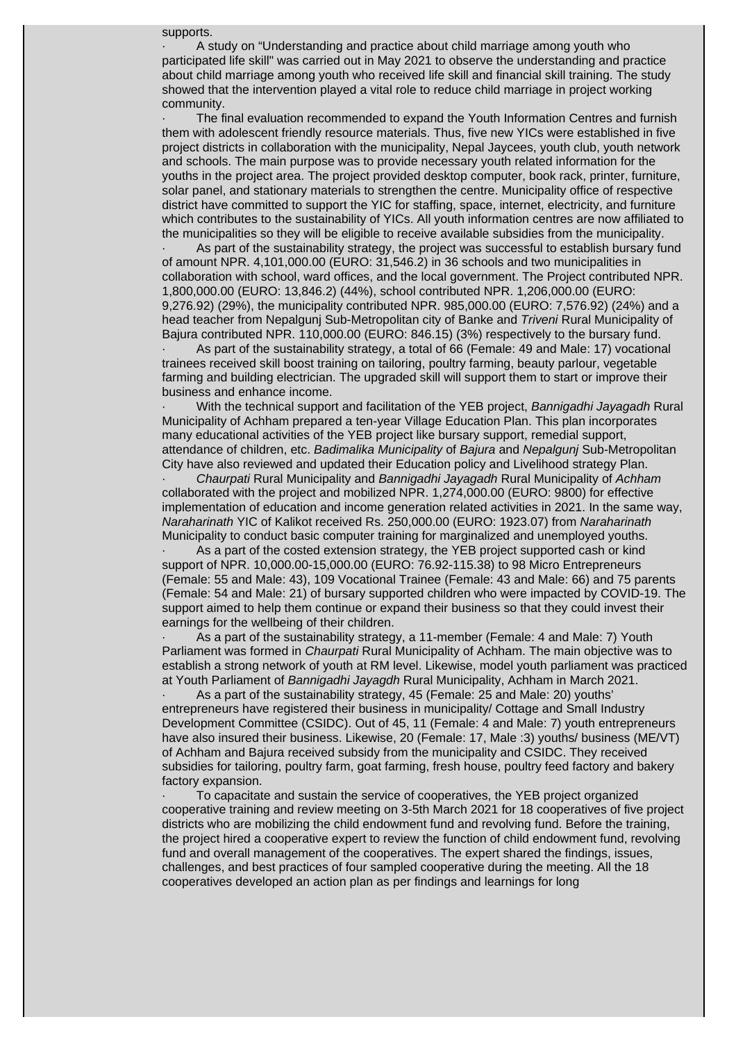supports.

A study on "Understanding and practice about child marriage among youth who participated life skill" was carried out in May 2021 to observe the understanding and practice about child marriage among youth who received life skill and financial skill training. The study showed that the intervention played a vital role to reduce child marriage in project working community.

The final evaluation recommended to expand the Youth Information Centres and furnish them with adolescent friendly resource materials. Thus, five new YICs were established in five project districts in collaboration with the municipality, Nepal Jaycees, youth club, youth network and schools. The main purpose was to provide necessary youth related information for the youths in the project area. The project provided desktop computer, book rack, printer, furniture, solar panel, and stationary materials to strengthen the centre. Municipality office of respective district have committed to support the YIC for staffing, space, internet, electricity, and furniture which contributes to the sustainability of YICs. All youth information centres are now affiliated to the municipalities so they will be eligible to receive available subsidies from the municipality.

As part of the sustainability strategy, the project was successful to establish bursary fund of amount NPR. 4,101,000.00 (EURO: 31,546.2) in 36 schools and two municipalities in collaboration with school, ward offices, and the local government. The Project contributed NPR. 1,800,000.00 (EURO: 13,846.2) (44%), school contributed NPR. 1,206,000.00 (EURO: 9,276.92) (29%), the municipality contributed NPR. 985,000.00 (EURO: 7,576.92) (24%) and a head teacher from Nepalgunj Sub-Metropolitan city of Banke and Triveni Rural Municipality of Bajura contributed NPR. 110,000.00 (EURO: 846.15) (3%) respectively to the bursary fund.

As part of the sustainability strategy, a total of 66 (Female: 49 and Male: 17) vocational trainees received skill boost training on tailoring, poultry farming, beauty parlour, vegetable farming and building electrician. The upgraded skill will support them to start or improve their business and enhance income.

With the technical support and facilitation of the YEB project, Bannigadhi Jayagadh Rural Municipality of Achham prepared a ten-year Village Education Plan. This plan incorporates many educational activities of the YEB project like bursary support, remedial support, attendance of children, etc. Badimalika Municipality of Bajura and Nepalgunj Sub-Metropolitan City have also reviewed and updated their Education policy and Livelihood strategy Plan.

Chaurpati Rural Municipality and Bannigadhi Jayagadh Rural Municipality of Achham collaborated with the project and mobilized NPR. 1,274,000.00 (EURO: 9800) for effective implementation of education and income generation related activities in 2021. In the same way, Naraharinath YIC of Kalikot received Rs. 250,000.00 (EURO: 1923.07) from Naraharinath Municipality to conduct basic computer training for marginalized and unemployed youths.

As a part of the costed extension strategy, the YEB project supported cash or kind support of NPR. 10,000.00-15,000.00 (EURO: 76.92-115.38) to 98 Micro Entrepreneurs (Female: 55 and Male: 43), 109 Vocational Trainee (Female: 43 and Male: 66) and 75 parents (Female: 54 and Male: 21) of bursary supported children who were impacted by COVID-19. The support aimed to help them continue or expand their business so that they could invest their earnings for the wellbeing of their children.

As a part of the sustainability strategy, a 11-member (Female: 4 and Male: 7) Youth Parliament was formed in *Chaurpati* Rural Municipality of Achham. The main objective was to establish a strong network of youth at RM level. Likewise, model youth parliament was practiced at Youth Parliament of Bannigadhi Jayagdh Rural Municipality, Achham in March 2021.

As a part of the sustainability strategy, 45 (Female: 25 and Male: 20) youths' entrepreneurs have registered their business in municipality/ Cottage and Small Industry Development Committee (CSIDC). Out of 45, 11 (Female: 4 and Male: 7) youth entrepreneurs have also insured their business. Likewise, 20 (Female: 17, Male :3) youths/ business (ME/VT) of Achham and Bajura received subsidy from the municipality and CSIDC. They received subsidies for tailoring, poultry farm, goat farming, fresh house, poultry feed factory and bakery factory expansion.

· To capacitate and sustain the service of cooperatives, the YEB project organized cooperative training and review meeting on 3-5th March 2021 for 18 cooperatives of five project districts who are mobilizing the child endowment fund and revolving fund. Before the training, the project hired a cooperative expert to review the function of child endowment fund, revolving fund and overall management of the cooperatives. The expert shared the findings, issues, challenges, and best practices of four sampled cooperative during the meeting. All the 18 cooperatives developed an action plan as per findings and learnings for long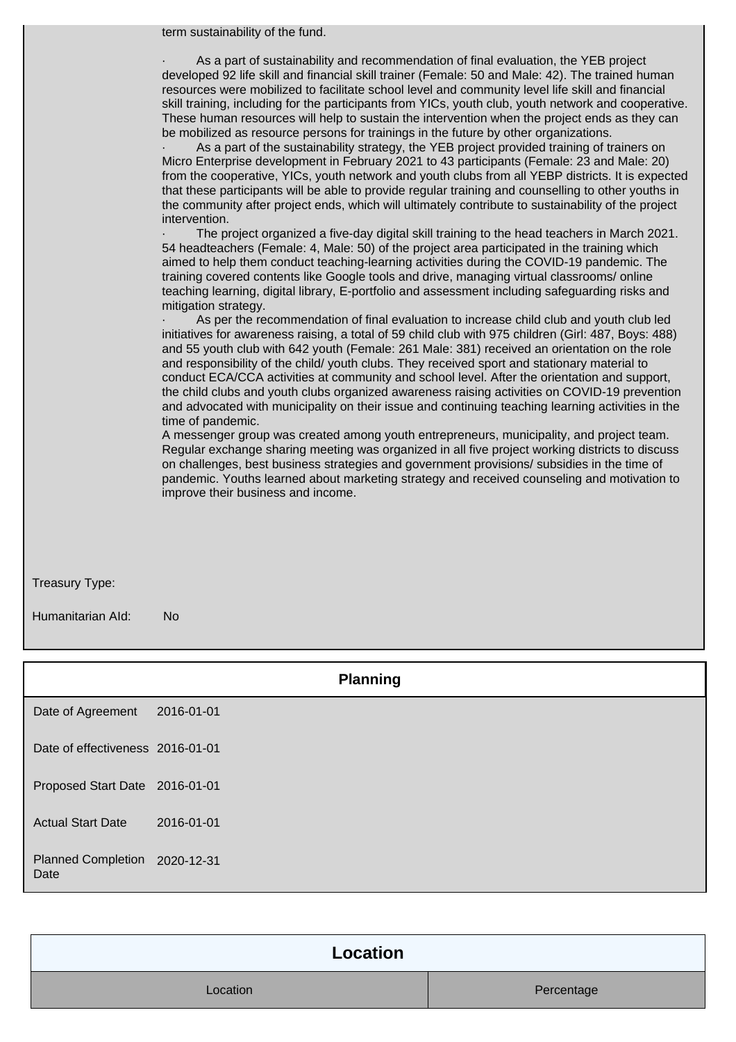term sustainability of the fund.

As a part of sustainability and recommendation of final evaluation, the YEB project developed 92 life skill and financial skill trainer (Female: 50 and Male: 42). The trained human resources were mobilized to facilitate school level and community level life skill and financial skill training, including for the participants from YICs, youth club, youth network and cooperative. These human resources will help to sustain the intervention when the project ends as they can be mobilized as resource persons for trainings in the future by other organizations.

As a part of the sustainability strategy, the YEB project provided training of trainers on Micro Enterprise development in February 2021 to 43 participants (Female: 23 and Male: 20) from the cooperative, YICs, youth network and youth clubs from all YEBP districts. It is expected that these participants will be able to provide regular training and counselling to other youths in the community after project ends, which will ultimately contribute to sustainability of the project intervention.

· The project organized a five-day digital skill training to the head teachers in March 2021. 54 headteachers (Female: 4, Male: 50) of the project area participated in the training which aimed to help them conduct teaching-learning activities during the COVID-19 pandemic. The training covered contents like Google tools and drive, managing virtual classrooms/ online teaching learning, digital library, E-portfolio and assessment including safeguarding risks and mitigation strategy.

As per the recommendation of final evaluation to increase child club and youth club led initiatives for awareness raising, a total of 59 child club with 975 children (Girl: 487, Boys: 488) and 55 youth club with 642 youth (Female: 261 Male: 381) received an orientation on the role and responsibility of the child/ youth clubs. They received sport and stationary material to conduct ECA/CCA activities at community and school level. After the orientation and support, the child clubs and youth clubs organized awareness raising activities on COVID-19 prevention and advocated with municipality on their issue and continuing teaching learning activities in the time of pandemic.

A messenger group was created among youth entrepreneurs, municipality, and project team. Regular exchange sharing meeting was organized in all five project working districts to discuss on challenges, best business strategies and government provisions/ subsidies in the time of pandemic. Youths learned about marketing strategy and received counseling and motivation to improve their business and income.

Treasury Type:

Humanitarian AId: No

|                                       |            | <b>Planning</b> |
|---------------------------------------|------------|-----------------|
| Date of Agreement                     | 2016-01-01 |                 |
| Date of effectiveness 2016-01-01      |            |                 |
| Proposed Start Date 2016-01-01        |            |                 |
| <b>Actual Start Date</b>              | 2016-01-01 |                 |
| Planned Completion 2020-12-31<br>Date |            |                 |

| Location |            |  |
|----------|------------|--|
| Location | Percentage |  |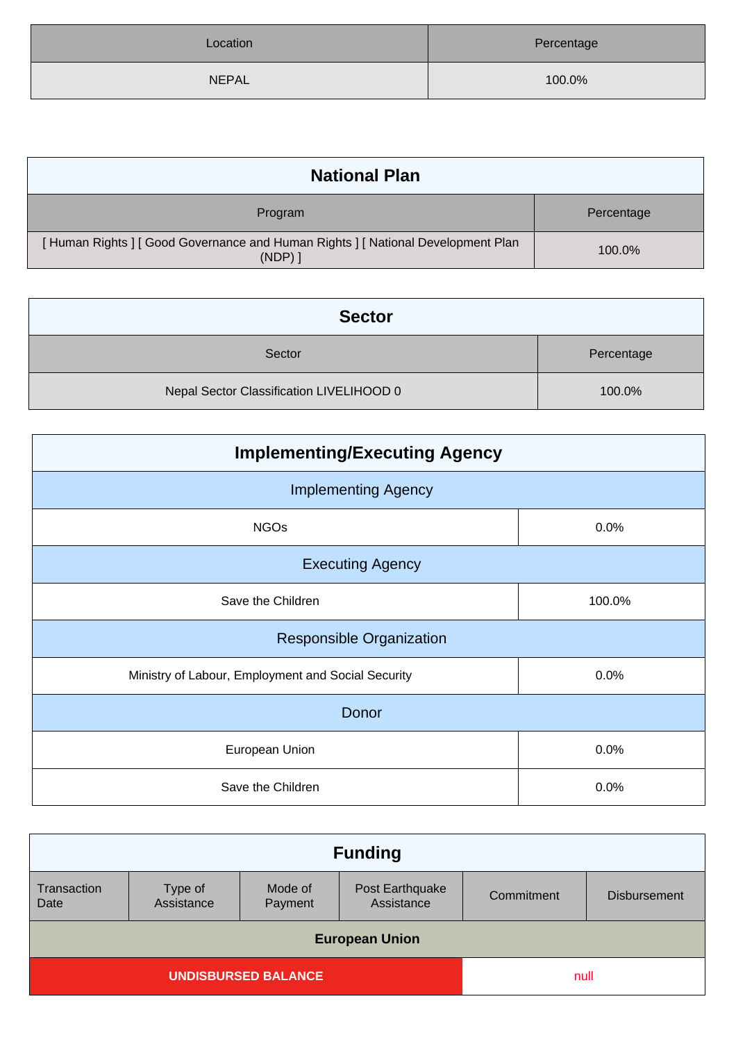| Location     | Percentage |
|--------------|------------|
| <b>NEPAL</b> | 100.0%     |

| <b>National Plan</b>                                                                  |            |
|---------------------------------------------------------------------------------------|------------|
| Program                                                                               | Percentage |
| [Human Rights] [Good Governance and Human Rights] [National Development Plan<br>(NDP) | 100.0%     |

| <b>Sector</b>                            |            |
|------------------------------------------|------------|
| Sector                                   | Percentage |
| Nepal Sector Classification LIVELIHOOD 0 | 100.0%     |

| <b>Implementing/Executing Agency</b>               |        |  |
|----------------------------------------------------|--------|--|
| <b>Implementing Agency</b>                         |        |  |
| <b>NGOs</b>                                        | 0.0%   |  |
| <b>Executing Agency</b>                            |        |  |
| Save the Children                                  | 100.0% |  |
| Responsible Organization                           |        |  |
| Ministry of Labour, Employment and Social Security | 0.0%   |  |
| Donor                                              |        |  |
| European Union                                     | 0.0%   |  |
| Save the Children                                  | 0.0%   |  |

| <b>Funding</b>                     |                       |                    |                               |            |                     |
|------------------------------------|-----------------------|--------------------|-------------------------------|------------|---------------------|
| Transaction<br>Date                | Type of<br>Assistance | Mode of<br>Payment | Post Earthquake<br>Assistance | Commitment | <b>Disbursement</b> |
| <b>European Union</b>              |                       |                    |                               |            |                     |
| <b>UNDISBURSED BALANCE</b><br>null |                       |                    |                               |            |                     |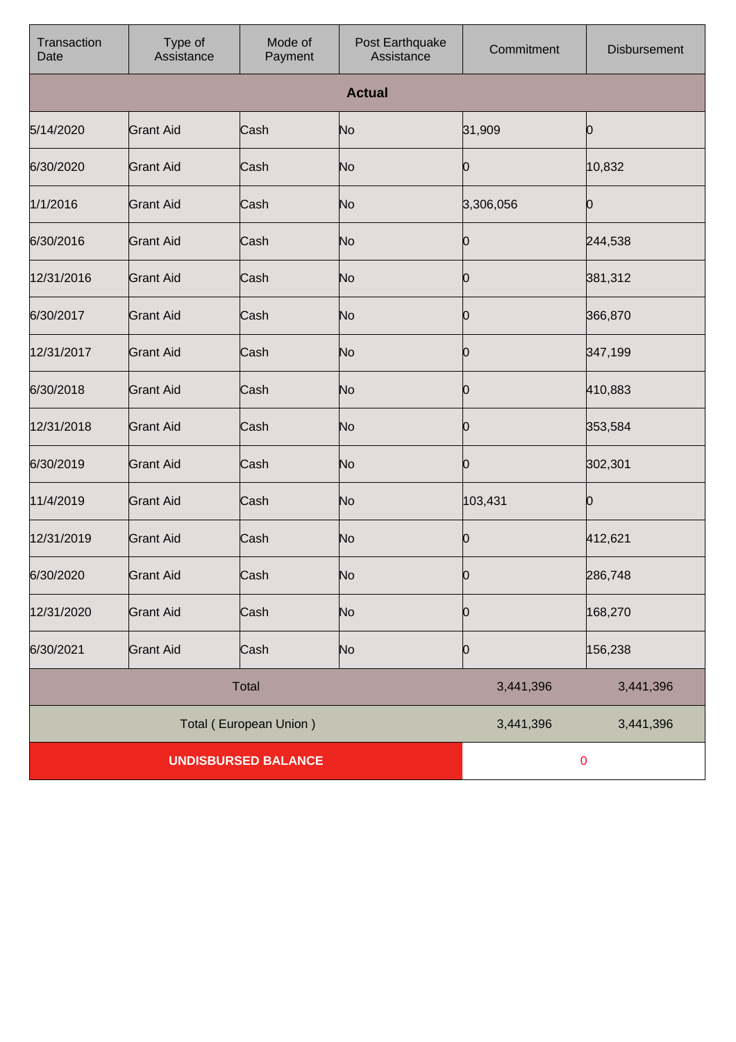| Transaction<br>Date        | Type of<br>Assistance | Mode of<br>Payment     | Post Earthquake<br>Assistance | Commitment | Disbursement |
|----------------------------|-----------------------|------------------------|-------------------------------|------------|--------------|
|                            |                       |                        | <b>Actual</b>                 |            |              |
| 5/14/2020                  | <b>Grant Aid</b>      | Cash                   | No                            | 31,909     | 0            |
| 6/30/2020                  | <b>Grant Aid</b>      | Cash                   | No                            | 10         | 10,832       |
| 1/1/2016                   | <b>Grant Aid</b>      | Cash                   | No                            | 3,306,056  | 0            |
| 6/30/2016                  | <b>Grant Aid</b>      | Cash                   | No                            | 10         | 244,538      |
| 12/31/2016                 | <b>Grant Aid</b>      | Cash                   | No                            | 0          | 381,312      |
| 6/30/2017                  | <b>Grant Aid</b>      | Cash                   | No                            | 10         | 366,870      |
| 12/31/2017                 | <b>Grant Aid</b>      | Cash                   | No                            | 0          | 347,199      |
| 6/30/2018                  | <b>Grant Aid</b>      | Cash                   | No                            | 10         | 410,883      |
| 12/31/2018                 | <b>Grant Aid</b>      | Cash                   | No                            | 0          | 353,584      |
| 6/30/2019                  | <b>Grant Aid</b>      | Cash                   | No                            | Ю          | 302,301      |
| 11/4/2019                  | <b>Grant Aid</b>      | Cash                   | No                            | 103,431    | Ю            |
| 12/31/2019                 | <b>Grant Aid</b>      | Cash                   | No                            | Ю          | 412,621      |
| 6/30/2020                  | <b>Grant Aid</b>      | Cash                   | N <sub>o</sub>                | Ю          | 286,748      |
| 12/31/2020                 | <b>Grant Aid</b>      | Cash                   | N <sub>o</sub>                | 0          | 168,270      |
| 6/30/2021                  | <b>Grant Aid</b>      | Cash                   | No                            | 0          | 156,238      |
|                            |                       | <b>Total</b>           |                               | 3,441,396  | 3,441,396    |
|                            |                       | Total (European Union) |                               | 3,441,396  | 3,441,396    |
| <b>UNDISBURSED BALANCE</b> |                       |                        | $\bf{0}$                      |            |              |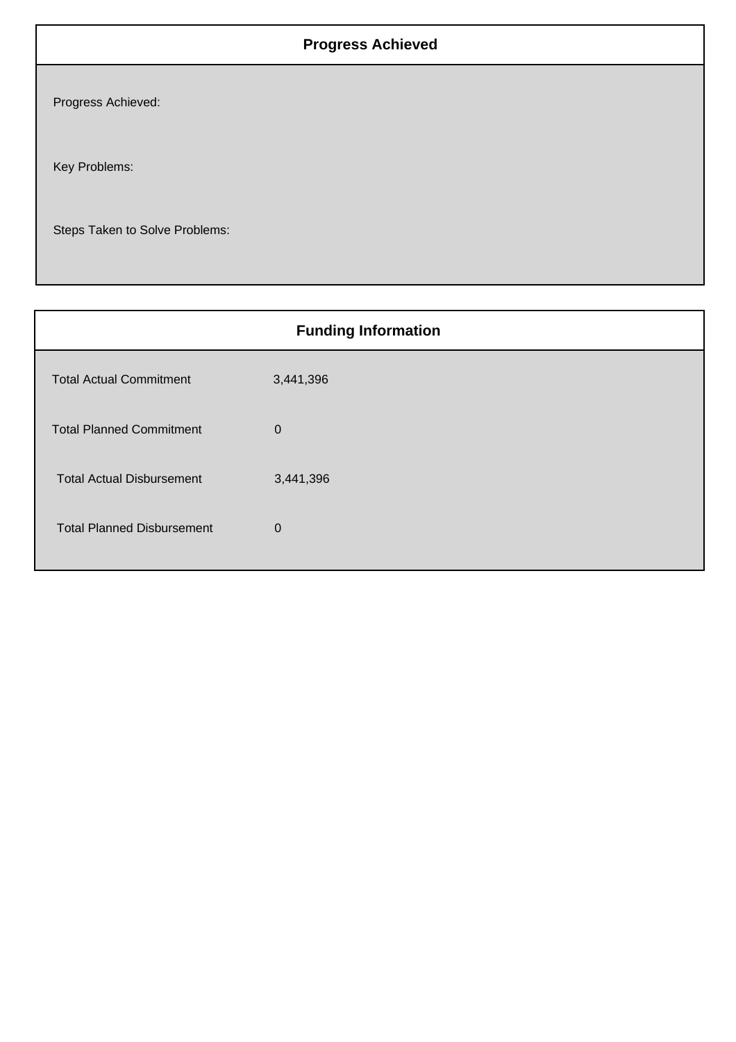## **Progress Achieved**

Progress Achieved:

Key Problems:

Steps Taken to Solve Problems:

|                                   | <b>Funding Information</b> |
|-----------------------------------|----------------------------|
| <b>Total Actual Commitment</b>    | 3,441,396                  |
| <b>Total Planned Commitment</b>   | $\mathbf 0$                |
| <b>Total Actual Disbursement</b>  | 3,441,396                  |
| <b>Total Planned Disbursement</b> | $\mathbf 0$                |
|                                   |                            |